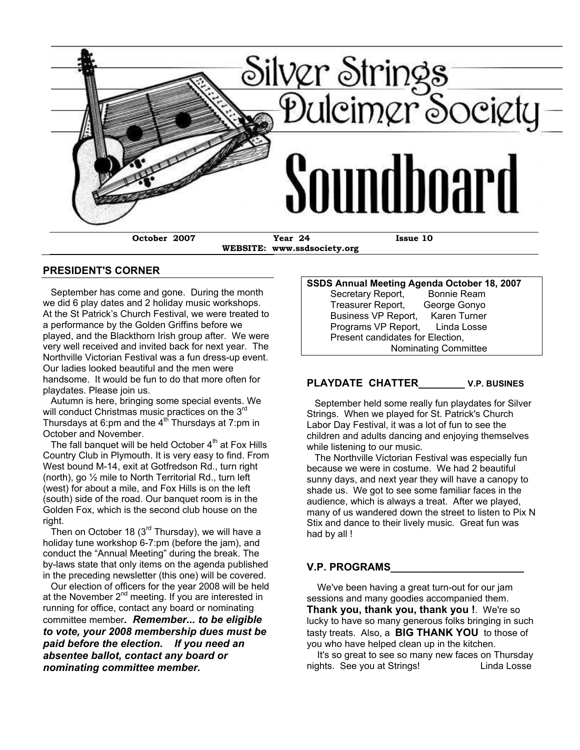

#### **PRESIDENT'S CORNER**

 September has come and gone. During the month we did 6 play dates and 2 holiday music workshops. At the St Patrick's Church Festival, we were treated to a performance by the Golden Griffins before we played, and the Blackthorn Irish group after. We were very well received and invited back for next year. The Northville Victorian Festival was a fun dress-up event. Our ladies looked beautiful and the men were handsome. It would be fun to do that more often for playdates. Please join us.

 Autumn is here, bringing some special events. We will conduct Christmas music practices on the 3<sup>rd</sup> Thursdays at 6:pm and the 4<sup>th</sup> Thursdays at 7:pm in October and November.

The fall banquet will be held October  $4<sup>th</sup>$  at Fox Hills Country Club in Plymouth. It is very easy to find. From West bound M-14, exit at Gotfredson Rd., turn right (north), go  $\frac{1}{2}$  mile to North Territorial Rd., turn left (west) for about a mile, and Fox Hills is on the left (south) side of the road. Our banquet room is in the Golden Fox, which is the second club house on the right.

Then on October 18 (3 $^{\text{rd}}$  Thursday), we will have a holiday tune workshop 6-7:pm (before the jam), and conduct the "Annual Meeting" during the break. The by-laws state that only items on the agenda published in the preceding newsletter (this one) will be covered.

 Our election of officers for the year 2008 will be held at the November  $2^{nd}$  meeting. If you are interested in running for office, contact any board or nominating committee member*. Remember... to be eligible to vote, your 2008 membership dues must be paid before the election. If you need an absentee ballot, contact any board or nominating committee member.*

#### **SSDS Annual Meeting Agenda October 18, 2007** Secretary Report, Bonnie Ream

 Treasurer Report, George Gonyo Business VP Report, Karen Turner Programs VP Report, Linda Losse Present candidates for Election, Nominating Committee

#### **PLAYDATE CHATTER\_\_\_\_\_\_\_\_ V.P. BUSINES**

 September held some really fun playdates for Silver Strings. When we played for St. Patrick's Church Labor Day Festival, it was a lot of fun to see the children and adults dancing and enjoying themselves while listening to our music.

 The Northville Victorian Festival was especially fun because we were in costume. We had 2 beautiful sunny days, and next year they will have a canopy to shade us. We got to see some familiar faces in the audience, which is always a treat. After we played, many of us wandered down the street to listen to Pix N Stix and dance to their lively music. Great fun was had by all !

#### **V.P. PROGRAMS\_\_\_\_\_\_\_\_\_\_\_\_\_\_\_\_\_\_\_\_\_\_\_**

 We've been having a great turn-out for our jam sessions and many goodies accompanied them. **Thank you, thank you, thank you !**. We're so lucky to have so many generous folks bringing in such tasty treats. Also, a **BIG THANK YOU** to those of you who have helped clean up in the kitchen.

 It's so great to see so many new faces on Thursday nights. See you at Strings! Linda Losse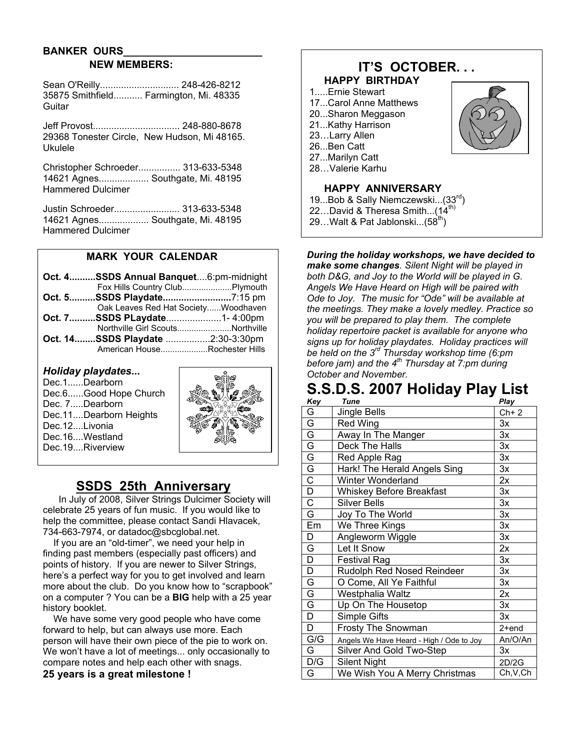# **BANKER OURS\_\_\_\_\_\_\_\_\_\_\_\_\_\_\_\_\_\_\_\_\_\_\_\_ NEW MEMBERS:**

Sean O'Reilly.............................. 248-426-8212 35875 Smithfield........... Farmington, Mi. 48335 **Guitar** 

Jeff Provost................................. 248-880-8678 29368 Tonester Circle, New Hudson, Mi 48165. Ukulele

Christopher Schroeder................ 313-633-5348 14621 Agnes................... Southgate, Mi. 48195 Hammered Dulcimer

Justin Schroeder......................... 313-633-5348 14621 Agnes................... Southgate, Mi. 48195 Hammered Dulcimer

## **MARK YOUR CALENDAR**

| Oct. 4SSDS Annual Banquet6:pm-midnight |  |
|----------------------------------------|--|
|                                        |  |
| Oct. 5SSDS Playdate7:15 pm             |  |
| Oak Leaves Red Hat SocietyWoodhaven    |  |
| Oct. 7SSDS PLaydate1-4:00pm            |  |
| Northville Girl ScoutsNorthville       |  |
| Oct. 14SSDS Playdate 2:30-3:30pm       |  |
| American HouseRochester Hills          |  |

#### *Holiday playdates...*

Dec.1......Dearborn Dec.6......Good Hope Church Dec. 7.....Dearborn Dec.11....Dearborn Heights Dec.12....Livonia Dec.16....Westland Dec.19....Riverview



# **SSDS 25th Anniversary**

 In July of 2008, Silver Strings Dulcimer Society will celebrate 25 years of fun music. If you would like to help the committee, please contact Sandi Hlavacek, 734-663-7974, or datadoc@sbcglobal.net.

 If you are an "old-timer", we need your help in finding past members (especially past officers) and points of history. If you are newer to Silver Strings, here's a perfect way for you to get involved and learn more about the club. Do you know how to "scrapbook" on a computer ? You can be a **BIG** help with a 25 year history booklet.

 We have some very good people who have come forward to help, but can always use more. Each person will have their own piece of the pie to work on. We won't have a lot of meetings... only occasionally to compare notes and help each other with snags. **25 years is a great milestone !**

# **IT'S OCTOBER. . . HAPPY BIRTHDAY**

- 1.....Ernie Stewart
- 17...Carol Anne Matthews
- 20...Sharon Meggason
- 21...Kathy Harrison
- 23…Larry Allen
- 26...Ben Catt
- 27...Marilyn Catt
- 28…Valerie Karhu

## **HAPPY ANNIVERSARY**

- 19...Bob & Sally Niemczewski...(33<sup>rd</sup>)
- 22...David & Theresa Smith...(14<sup>th)</sup>
- 29... Walt & Pat Jablonski... $(58^{th})$

*During the holiday workshops, we have decided to make some changes. Silent Night will be played in both D&G, and Joy to the World will be played in G. Angels We Have Heard on High will be paired with Ode to Joy. The music for "Ode" will be available at the meetings. They make a lovely medley. Practice so you will be prepared to play them. The complete holiday repertoire packet is available for anyone who signs up for holiday playdates. Holiday practices will be held on the 3rd Thursday workshop time (6:pm before jam) and the 4th Thursday at 7:pm during October and November.*

# **S.S.D.S. 2007 Holiday Play List**

| Key                                       | Tune                                     | Play      |
|-------------------------------------------|------------------------------------------|-----------|
| G                                         | Jingle Bells                             | $Ch+2$    |
| $\overline{G}$                            | Red Wing                                 | 3x        |
|                                           | Away In The Manger                       | 3x        |
|                                           | Deck The Halls                           | 3x        |
| $\frac{G}{G}$ $\frac{G}{G}$ $\frac{G}{G}$ | Red Apple Rag                            | 3x        |
|                                           | Hark! The Herald Angels Sing             | Зx        |
|                                           | <b>Winter Wonderland</b>                 | 2x        |
|                                           | <b>Whiskey Before Breakfast</b>          | Зx        |
| $\overline{C}$                            | <b>Silver Bells</b>                      | 3x        |
| $\overline{\mathsf{G}}$                   | Joy To The World                         | 3x        |
| Em                                        | We Three Kings                           | 3x        |
| D                                         | Angleworm Wiggle                         | 3x        |
| G                                         | Let It Snow                              | 2x        |
| $\overline{\mathsf{D}}$                   | Festival Rag                             | 3x        |
| D                                         | Rudolph Red Nosed Reindeer               | 3x        |
| G                                         | O Come, All Ye Faithful                  | 3x        |
| $\overline{G}$                            | Westphalia Waltz                         | 2x        |
| $\overline{\mathsf{G}}$                   | Up On The Housetop                       | 3x        |
| $\overline{\mathsf{D}}$                   | Simple Gifts                             | 3x        |
| D                                         | <b>Frosty The Snowman</b>                | $2+end$   |
| G/G                                       | Angels We Have Heard - High / Ode to Joy | An/O/An   |
| G                                         | Silver And Gold Two-Step                 | 3x        |
| D/G                                       | <b>Silent Night</b>                      | 2D/2G     |
| G                                         | We Wish You A Merry Christmas            | Ch, V, Ch |

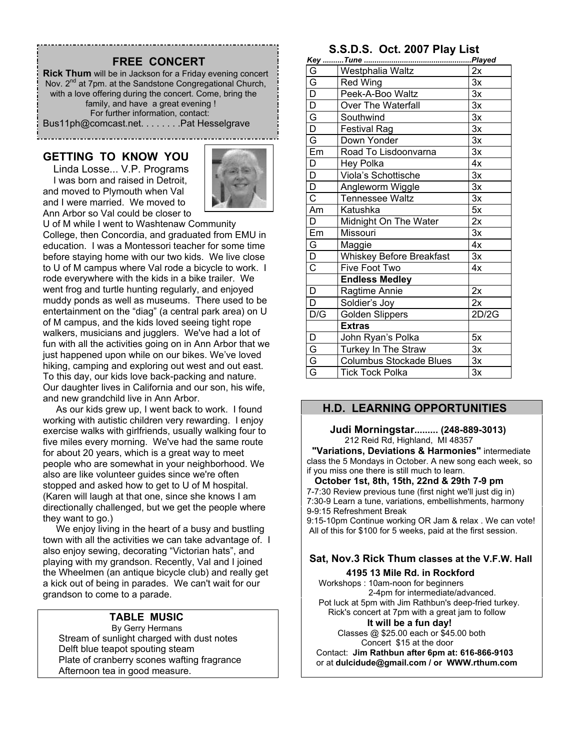# **FREE CONCERT**

**Rick Thum** will be in Jackson for a Friday evening concert Nov. 2<sup>nd</sup> at 7pm. at the Sandstone Congregational Church, with a love offering during the concert. Come, bring the family, and have a great evening ! For further information, contact: Bus11ph@comcast.net. . . . . . . .Pat Hesselgrave

### **GETTING TO KNOW YOU**

 Linda Losse... V.P. Programs I was born and raised in Detroit, and moved to Plymouth when Val and I were married. We moved to Ann Arbor so Val could be closer to



U of M while I went to Washtenaw Community College, then Concordia, and graduated from EMU in education. I was a Montessori teacher for some time before staying home with our two kids. We live close to U of M campus where Val rode a bicycle to work. I rode everywhere with the kids in a bike trailer. We went frog and turtle hunting regularly, and enjoyed muddy ponds as well as museums. There used to be entertainment on the "diag" (a central park area) on U of M campus, and the kids loved seeing tight rope walkers, musicians and jugglers. We've had a lot of fun with all the activities going on in Ann Arbor that we just happened upon while on our bikes. We've loved hiking, camping and exploring out west and out east. To this day, our kids love back-packing and nature. Our daughter lives in California and our son, his wife, and new grandchild live in Ann Arbor.

 As our kids grew up, I went back to work. I found working with autistic children very rewarding. I enjoy exercise walks with girlfriends, usually walking four to five miles every morning. We've had the same route for about 20 years, which is a great way to meet people who are somewhat in your neighborhood. We also are like volunteer guides since we're often stopped and asked how to get to U of M hospital. (Karen will laugh at that one, since she knows I am directionally challenged, but we get the people where they want to go.)

 We enjoy living in the heart of a busy and bustling town with all the activities we can take advantage of. I also enjoy sewing, decorating "Victorian hats", and playing with my grandson. Recently, Val and I joined the Wheelmen (an antique bicycle club) and really get a kick out of being in parades. We can't wait for our grandson to come to a parade.

#### **TABLE MUSIC**

 By Gerry Hermans Stream of sunlight charged with dust notes Delft blue teapot spouting steam Plate of cranberry scones wafting fragrance Afternoon tea in good measure.

# **S.S.D.S. Oct. 2007 Play List**

| G                       | Westphalia Waltz                | 2x    |
|-------------------------|---------------------------------|-------|
| $\overline{\mathsf{G}}$ | Red Wing                        | 3x    |
| $\overline{D}$          | Peek-A-Boo Waltz                | 3x    |
| $\overline{D}$          | Over The Waterfall              | 3x    |
| $\overline{\mathsf{G}}$ | Southwind                       | 3x    |
| $\overline{D}$          | <b>Festival Rag</b>             | 3x    |
| G                       | Down Yonder                     | 3x    |
| Em                      | Road To Lisdoonvarna            | 3x    |
| D                       | Hey Polka                       | 4x    |
| D                       | Viola's Schottische             | 3x    |
| $\overline{\mathsf{D}}$ | Angleworm Wiggle                | 3x    |
| $\overline{\text{c}}$   | <b>Tennessee Waltz</b>          | 3x    |
| Am                      | Katushka                        | 5x    |
| $\overline{\mathsf{D}}$ | Midnight On The Water           | 2x    |
| Em                      | Missouri                        | 3x    |
| $rac{G}{D}$             | Maggie                          | 4x    |
|                         | <b>Whiskey Before Breakfast</b> | 3x    |
| $\overline{\text{c}}$   | Five Foot Two                   | 4x    |
|                         | <b>Endless Medley</b>           |       |
| D                       | Ragtime Annie                   | 2x    |
| D                       | Soldier's Joy                   | 2x    |
| D/G                     | <b>Golden Slippers</b>          | 2D/2G |
|                         | <b>Extras</b>                   |       |
| D                       | John Ryan's Polka               | 5x    |
|                         | Turkey In The Straw             | 3x    |
| $\frac{G}{G}$           | <b>Columbus Stockade Blues</b>  | 3x    |
|                         | <b>Tick Tock Polka</b>          | 3x    |

### **H.D. LEARNING OPPORTUNITIES**

#### **Judi Morningstar......... (248-889-3013)** 212 Reid Rd, Highland, MI 48357

 **"Variations, Deviations & Harmonies"** intermediate class the 5 Mondays in October. A new song each week, so if you miss one there is still much to learn.

 **October 1st, 8th, 15th, 22nd & 29th 7-9 pm** 7-7:30 Review previous tune (first night we'll just dig in) 7:30-9 Learn a tune, variations, embellishments, harmony 9-9:15 Refreshment Break

9:15-10pm Continue working OR Jam & relax . We can vote! All of this for \$100 for 5 weeks, paid at the first session.

# **Sat, Nov.3 Rick Thum classes at the V.F.W. Hall**

 **4195 13 Mile Rd. in Rockford** Workshops : 10am-noon for beginners 2-4pm for intermediate/advanced. Pot luck at 5pm with Jim Rathbun's deep-fried turkey. Rick's concert at 7pm with a great jam to follow  **It will be a fun day!** Classes @ \$25.00 each or \$45.00 both Concert \$15 at the door Contact: **Jim Rathbun after 6pm at: 616-866-9103**

or at **dulcidude@gmail.com / or WWW.rthum.com**